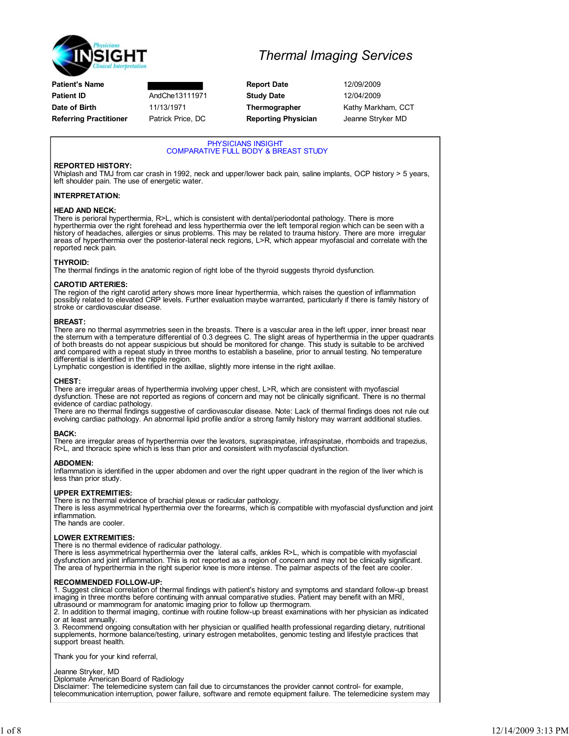

| <b>Patient's Name</b>         |        |
|-------------------------------|--------|
| <b>Patient ID</b>             | AndCh  |
| Date of Birth                 | 11/13  |
| <b>Referring Practitioner</b> | Patric |

### Thermal Imaging Services

**Report Date** 12/09/2009 he13111971 **Study Date** 12/04/2009 k Price, DC **Reporting Physician** Jeanne Stryker MD

1971 **Thermographer Kathy Markham, CCT** 

### PHYSICIANS INSIGHT COMPARATIVE FULL BODY & BREAST STUDY REPORTED HISTORY: Whiplash and TMJ from car crash in 1992, neck and upper/lower back pain, saline implants, OCP history > 5 years, left shoulder pain. The use of energetic water. INTERPRETATION: HEAD AND NECK: There is perioral hyperthermia, R>L, which is consistent with dental/periodontal pathology. There is more hyperthermia over the right forehead and less hyperthermia over the left temporal region which can be seen with a<br>history of headaches, allergies or sinus problems. This may be related to trauma history. There are more ir areas of hyperthermia over the posterior-lateral neck regions, L>R, which appear myofascial and correlate with the reported neck pain. THYROID: The thermal findings in the anatomic region of right lobe of the thyroid suggests thyroid dysfunction. CAROTID ARTERIES: The region of the right carotid artery shows more linear hyperthermia, which raises the question of inflammation<br>possibly related to elevated CRP levels. Further evaluation maybe warranted, particularly if there is family stroke or cardiovascular disease. BREAST: There are no thermal asymmetries seen in the breasts. There is a vascular area in the left upper, inner breast near the sternum with a temperature differential of 0.3 degrees C. The slight areas of hyperthermia in the upper quadrants<br>of both breasts do not appear suspicious but should be monitored for change. This study is suitable to b and compared with a repeat study in three months to establish a baseline, prior to annual testing. No temperature differential is identified in the nipple region. Lymphatic congestion is identified in the axillae, slightly more intense in the right axillae. There are irregular areas of hyperthermia involving upper chest, L>R, which are consistent with myofascial dysfunction. These are not reported as regions of concern and may not be clinically significant. There is no thermal evidence of cardiac pathology. There are no thermal findings suggestive of cardiovascular disease. Note: Lack of thermal findings does not rule out evolving cardiac pathology. An abnormal lipid profile and/or a strong family history may warrant additional studies.

BACK:

CHEST:

There are irregular areas of hyperthermia over the levators, supraspinatae, infraspinatae, rhomboids and trapezius, R>L, and thoracic spine which is less than prior and consistent with myofascial dysfunction.

### ABDOMEN:

Inflammation is identified in the upper abdomen and over the right upper quadrant in the region of the liver which is less than prior study.

### UPPER EXTREMITIES:

There is no thermal evidence of brachial plexus or radicular pathology.

There is less asymmetrical hyperthermia over the forearms, which is compatible with myofascial dysfunction and joint inflammation.

The hands are cooler.

#### LOWER EXTREMITIES:

There is no thermal evidence of radicular pathology.

There is less asymmetrical hyperthermia over the lateral calfs, ankles R>L, which is compatible with myofascial dysfunction and joint inflammation. This is not reported as a region of concern and may not be clinically significant.<br>The area of hyperthermia in the right superior knee is more intense. The palmar aspects of the feet are

### RECOMMENDED FOLLOW-UP:

1. Suggest clinical correlation of thermal findings with patient's history and symptoms and standard follow-up breast imaging in three months before continuing with annual comparative studies. Patient may benefit with an MRI,

ultrasound or mammogram for anatomic imaging prior to follow up thermogram. 2. In addition to thermal imaging, continue with routine follow-up breast examinations with her physician as indicated or at least annually.

3. Recommend ongoing consultation with her physician or qualified health professional regarding dietary, nutritional supplements, hormone balance/testing, urinary estrogen metabolites, genomic testing and lifestyle practices that support breast health.

Thank you for your kind referral,

#### Jeanne Stryker, MD

Diplomate American Board of Radiology

Disclaimer: The telemedicine system can fail due to circumstances the provider cannot control- for example, telecommunication interruption, power failure, software and remote equipment failure. The telemedicine system may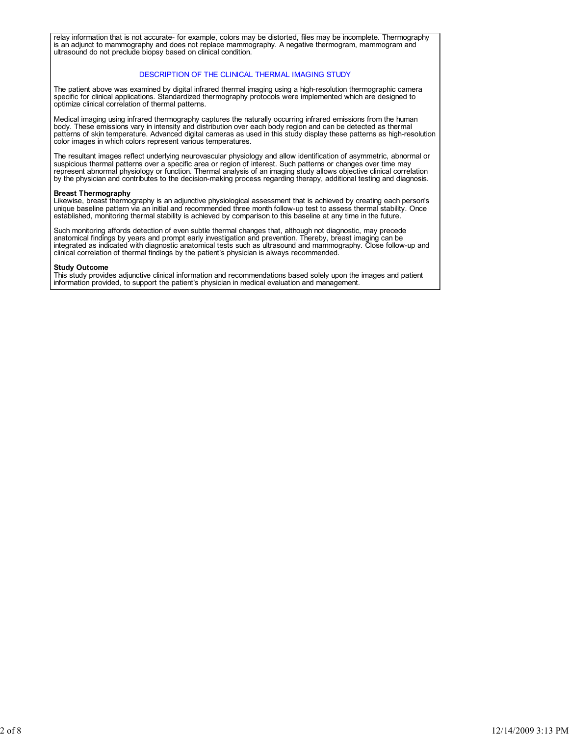relay information that is not accurate- for example, colors may be distorted, files may be incomplete. Thermography is an adjunct to mammography and does not replace mammography. A negative thermogram, mammogram and ultrasound do not preclude biopsy based on clinical condition.

### DESCRIPTION OF THE CLINICAL THERMAL IMAGING STUDY

The patient above was examined by digital infrared thermal imaging using a high-resolution thermographic camera specific for clinical applications. Standardized thermography protocols were implemented which are designed to optimize clinical correlation of thermal patterns.

Medical imaging using infrared thermography captures the naturally occurring infrared emissions from the human body. These emissions vary in intensity and distribution over each body region and can be detected as thermal patterns of skin temperature. Advanced digital cameras as used in this study display these patterns as high-resolution color images in which colors represent various temperatures.

The resultant images reflect underlying neurovascular physiology and allow identification of asymmetric, abnormal or suspicious thermal patterns over a specific area or region of interest. Such patterns or changes over time may<br>represent abnormal physiology or function. Thermal analysis of an imaging study allows objective clinical corre by the physician and contributes to the decision-making process regarding therapy, additional testing and diagnosis.

#### Breast Thermography

Likewise, breast thermography is an adjunctive physiological assessment that is achieved by creating each person's unique baseline pattern via an initial and recommended three month follow-up test to assess thermal stability. Once established, monitoring thermal stability is achieved by comparison to this baseline at any time in the future.

Such monitoring affords detection of even subtle thermal changes that, although not diagnostic, may precede anatomical findings by years and prompt early investigation and prevention. Thereby, breast imaging can be integrated as indicated with diagnostic anatomical tests such as ultrasound and mammography. Close follow-up and clinical correlation of thermal findings by the patient's physician is always recommended.

#### Study Outcome

This study provides adjunctive clinical information and recommendations based solely upon the images and patient information provided, to support the patient's physician in medical evaluation and management.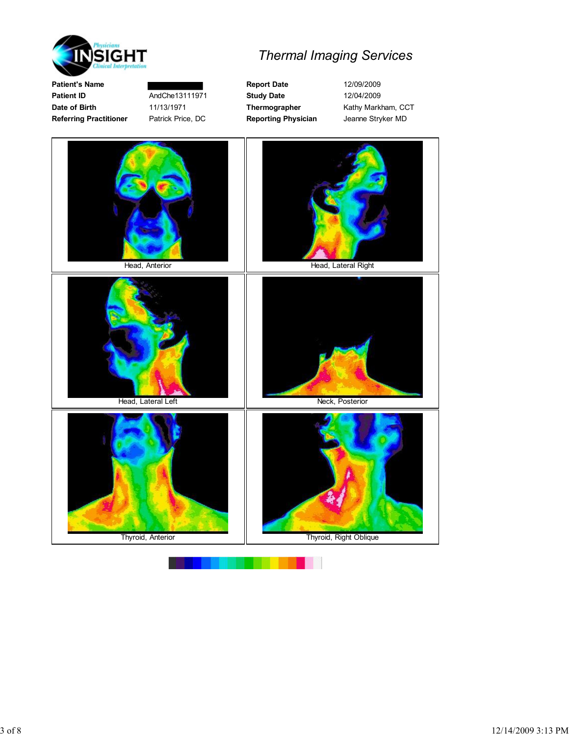

Patient's Name **Report Date** 12/09/2009 Patient ID **AndChe13111971** Study Date 12/04/2009 Date of Birth 11/13/1971 Thermographer Kathy Markham, CCT Referring Practitioner Patrick Price, DC Reporting Physician Jeanne Stryker MD

# Thermal Imaging Services

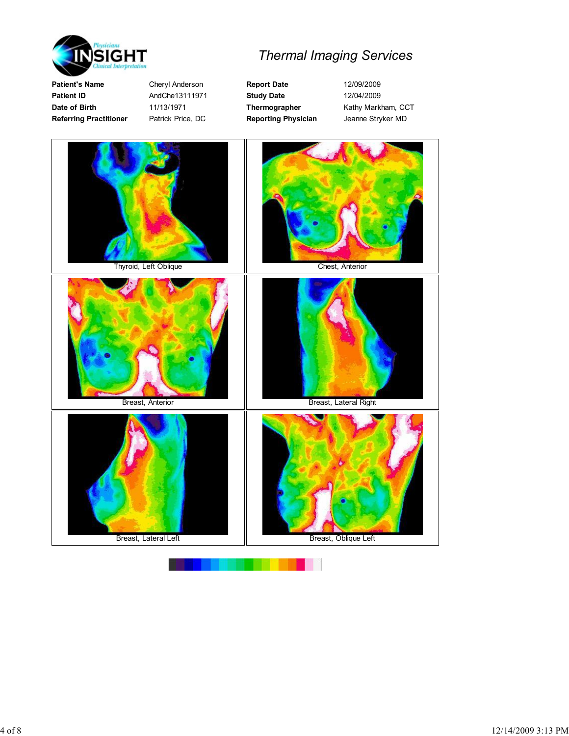

Patient's Name Cheryl Anderson Report Date 12/09/2009 Patient ID **AndChe13111971** Study Date 12/04/2009 Date of Birth 11/13/1971 Thermographer Kathy Markham, CCT Referring Practitioner Patrick Price, DC Reporting Physician Jeanne Stryker MD

# Thermal Imaging Services

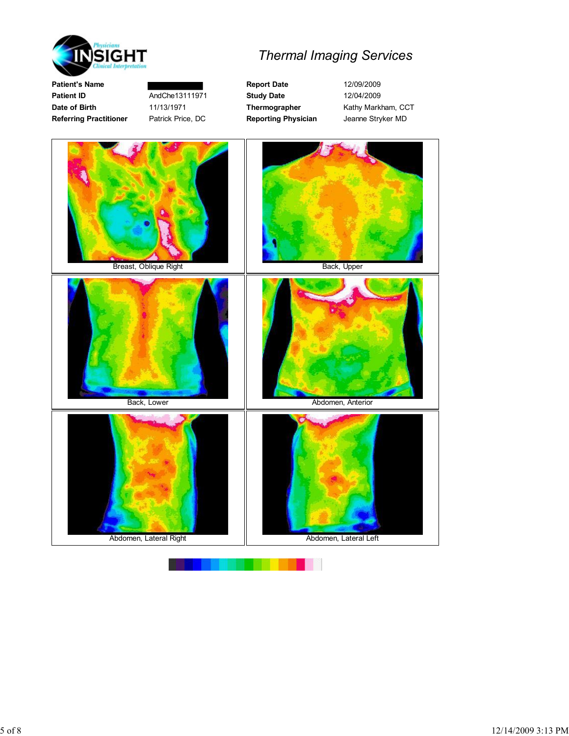

Referring Practitioner Patrick Price, DC Reporting Physician Jeanne Stryker MD

# Thermal Imaging Services

Patient's Name **Report Date** 12/09/2009 Patient ID **AndChe13111971** Study Date 12/04/2009 Date of Birth 11/13/1971 Thermographer Kathy Markham, CCT

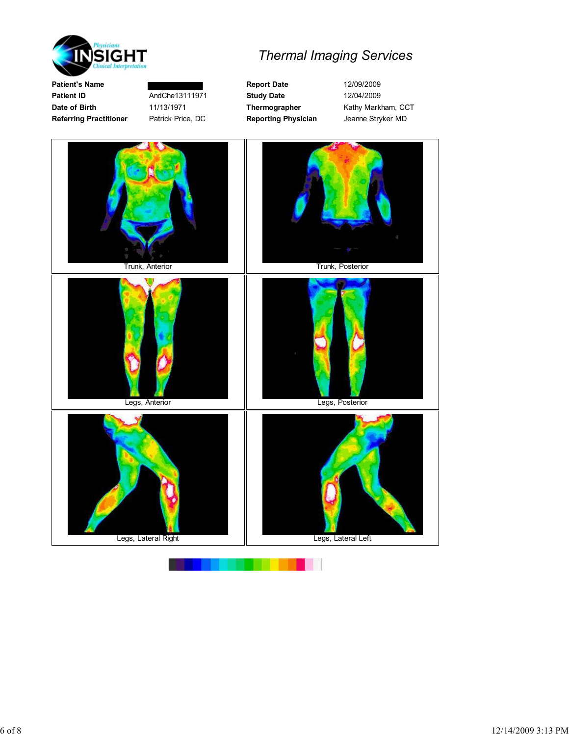

Patient's Name **Report Date** 12/09/2009 Patient ID **AndChe13111971** Study Date 12/04/2009 Date of Birth 11/13/1971 Thermographer Kathy Markham, CCT Referring Practitioner Patrick Price, DC Reporting Physician Jeanne Stryker MD

# Thermal Imaging Services

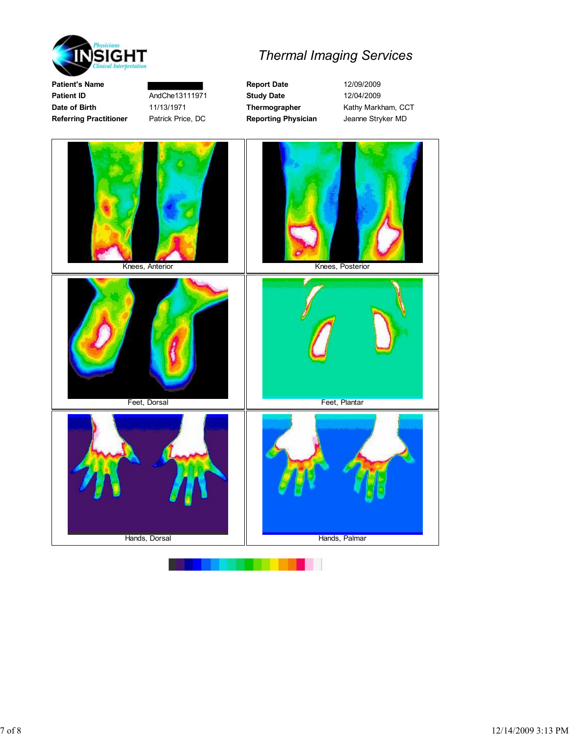

Patient's Name **Report Date** 12/09/2009 Referring Practitioner Patrick Price, DC Reporting Physician Jeanne Stryker MD

# Thermal Imaging Services

Patient ID **AndChe13111971** Study Date 12/04/2009 Date of Birth 11/13/1971 Thermographer Kathy Markham, CCT